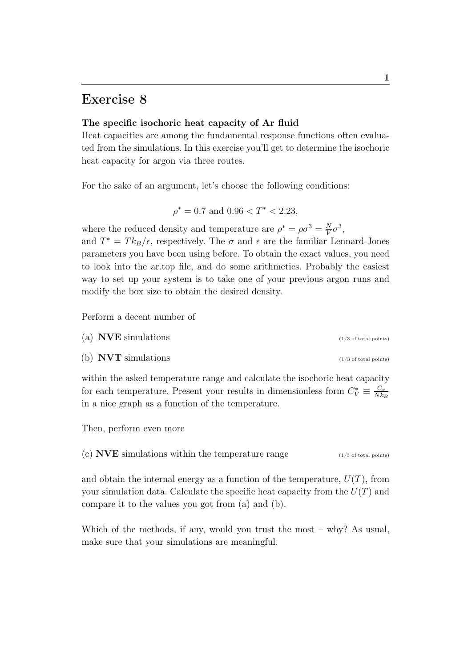## Exercise 8

## The specific isochoric heat capacity of Ar fluid

Heat capacities are among the fundamental response functions often evaluated from the simulations. In this exercise you'll get to determine the isochoric heat capacity for argon via three routes.

For the sake of an argument, let's choose the following conditions:

$$
\rho^* = 0.7 \text{ and } 0.96 < T^* < 2.23,
$$

where the reduced density and temperature are  $\rho^* = \rho \sigma^3 = \frac{N}{V}$  $\frac{N}{V}\sigma^3$ ,

and  $T^* = T k_B / \epsilon$ , respectively. The  $\sigma$  and  $\epsilon$  are the familiar Lennard-Jones parameters you have been using before. To obtain the exact values, you need to look into the ar.top file, and do some arithmetics. Probably the easiest way to set up your system is to take one of your previous argon runs and modify the box size to obtain the desired density.

Perform a decent number of

- (a)  $NVE$  simulations (1/3 of total points)
- (b)  $\text{NVT}$  simulations (1/3 of total points)

within the asked temperature range and calculate the isochoric heat capacity for each temperature. Present your results in dimensionless form  $C_V^* \equiv \frac{C_v}{Nk}$  $Nk_B$ in a nice graph as a function of the temperature.

Then, perform even more

(c) **NVE** simulations within the temperature range  $(1/3 \text{ of total points})$ 

and obtain the internal energy as a function of the temperature,  $U(T)$ , from your simulation data. Calculate the specific heat capacity from the  $U(T)$  and compare it to the values you got from (a) and (b).

Which of the methods, if any, would you trust the most – why? As usual, make sure that your simulations are meaningful.